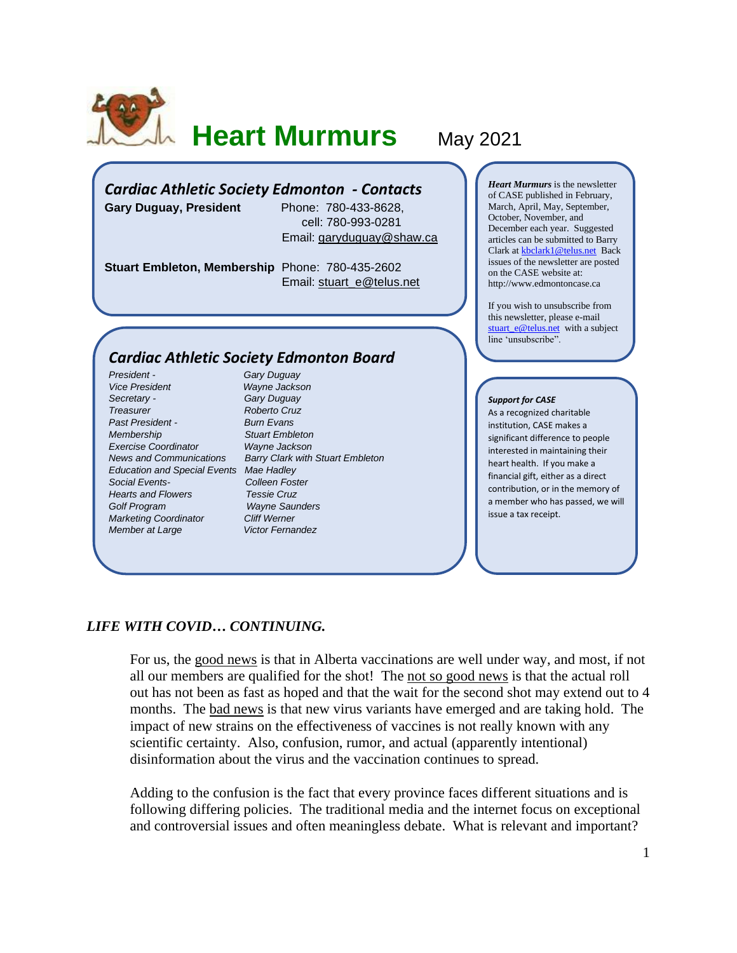

# **Heart Murmurs** May 2021

## *Cardiac Athletic Society Edmonton - Contacts*

**Gary Duguay, President** Phone: 780-433-8628,

 cell: 780-993-0281 Email: [garyduguay@shaw.ca](mailto:garyduguay@shaw.ca)

**Stuart Embleton, Membership** Phone: 780-435-2602 Email: [stuart\\_e@telus.net](mailto:stuart_e@telus.net)

## *Cardiac Athletic Society Edmonton Board*

*President - Gary Duguay Vice President Wayne Jackson Secretary - Gary Duguay Treasurer Roberto Cruz Past President - Burn Evans Membership Stuart Embleton Exercise Coordinator Wayne Jackson Education and Special Events Mae Hadley Social Events- Colleen Foster Hearts and Flowers Golf Program Wayne Saunders Marketing Coordinator Cliff Werner Member at Large* **Victor Fernandez** 

*News and Communications Barry Clark with Stuart Embleton*

*Heart Murmurs* is the newsletter of CASE published in February, March, April, May, September, October, November, and December each year. Suggested articles can be submitted to Barry Clark a[t kbclark1@telus.net](mailto:kbclark1@telus.net) Back issues of the newsletter are posted on the CASE website at: [http://www.edmontoncase.ca](http://www.edmontoncase.ca/)

If you wish to unsubscribe from this newsletter, please e-mail [stuart\\_e@telus.net](mailto:stuart_e@telus.net) with a subject line 'unsubscribe".

#### *Support for CASE*

As a recognized charitable institution, CASE makes a significant difference to people interested in maintaining their heart health. If you make a financial gift, either as a direct contribution, or in the memory of a member who has passed, we will issue a tax receipt.

### *LIFE WITH COVID… CONTINUING.*

For us, the good news is that in Alberta vaccinations are well under way, and most, if not all our members are qualified for the shot! The not so good news is that the actual roll out has not been as fast as hoped and that the wait for the second shot may extend out to 4 months. The bad news is that new virus variants have emerged and are taking hold. The impact of new strains on the effectiveness of vaccines is not really known with any scientific certainty. Also, confusion, rumor, and actual (apparently intentional) disinformation about the virus and the vaccination continues to spread.

Adding to the confusion is the fact that every province faces different situations and is following differing policies. The traditional media and the internet focus on exceptional and controversial issues and often meaningless debate. What is relevant and important?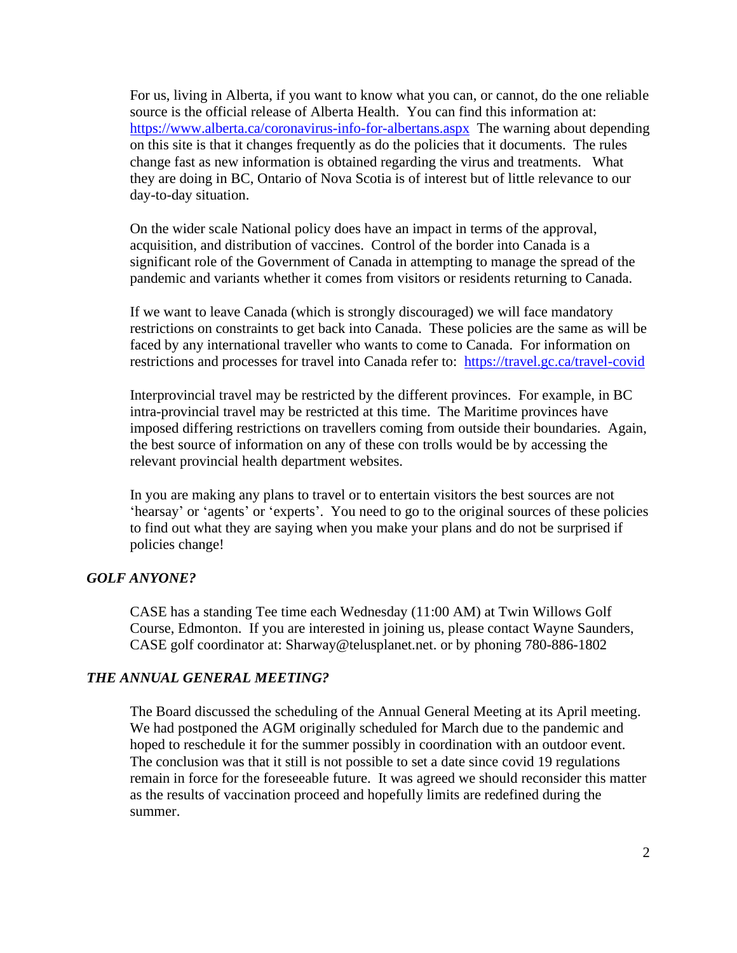For us, living in Alberta, if you want to know what you can, or cannot, do the one reliable source is the official release of Alberta Health. You can find this information at: <https://www.alberta.ca/coronavirus-info-for-albertans.aspx>The warning about depending on this site is that it changes frequently as do the policies that it documents. The rules change fast as new information is obtained regarding the virus and treatments. What they are doing in BC, Ontario of Nova Scotia is of interest but of little relevance to our day-to-day situation.

On the wider scale National policy does have an impact in terms of the approval, acquisition, and distribution of vaccines. Control of the border into Canada is a significant role of the Government of Canada in attempting to manage the spread of the pandemic and variants whether it comes from visitors or residents returning to Canada.

If we want to leave Canada (which is strongly discouraged) we will face mandatory restrictions on constraints to get back into Canada. These policies are the same as will be faced by any international traveller who wants to come to Canada. For information on restrictions and processes for travel into Canada refer to: <https://travel.gc.ca/travel-covid>

Interprovincial travel may be restricted by the different provinces. For example, in BC intra-provincial travel may be restricted at this time. The Maritime provinces have imposed differing restrictions on travellers coming from outside their boundaries. Again, the best source of information on any of these con trolls would be by accessing the relevant provincial health department websites.

In you are making any plans to travel or to entertain visitors the best sources are not 'hearsay' or 'agents' or 'experts'. You need to go to the original sources of these policies to find out what they are saying when you make your plans and do not be surprised if policies change!

## *GOLF ANYONE?*

CASE has a standing Tee time each Wednesday (11:00 AM) at Twin Willows Golf Course, Edmonton. If you are interested in joining us, please contact Wayne Saunders, CASE golf coordinator at: [Sharway@telusplanet.net.](mailto:Sharway@telusplanet.net) or by phoning 780-886-1802

#### *THE ANNUAL GENERAL MEETING?*

The Board discussed the scheduling of the Annual General Meeting at its April meeting. We had postponed the AGM originally scheduled for March due to the pandemic and hoped to reschedule it for the summer possibly in coordination with an outdoor event. The conclusion was that it still is not possible to set a date since covid 19 regulations remain in force for the foreseeable future. It was agreed we should reconsider this matter as the results of vaccination proceed and hopefully limits are redefined during the summer.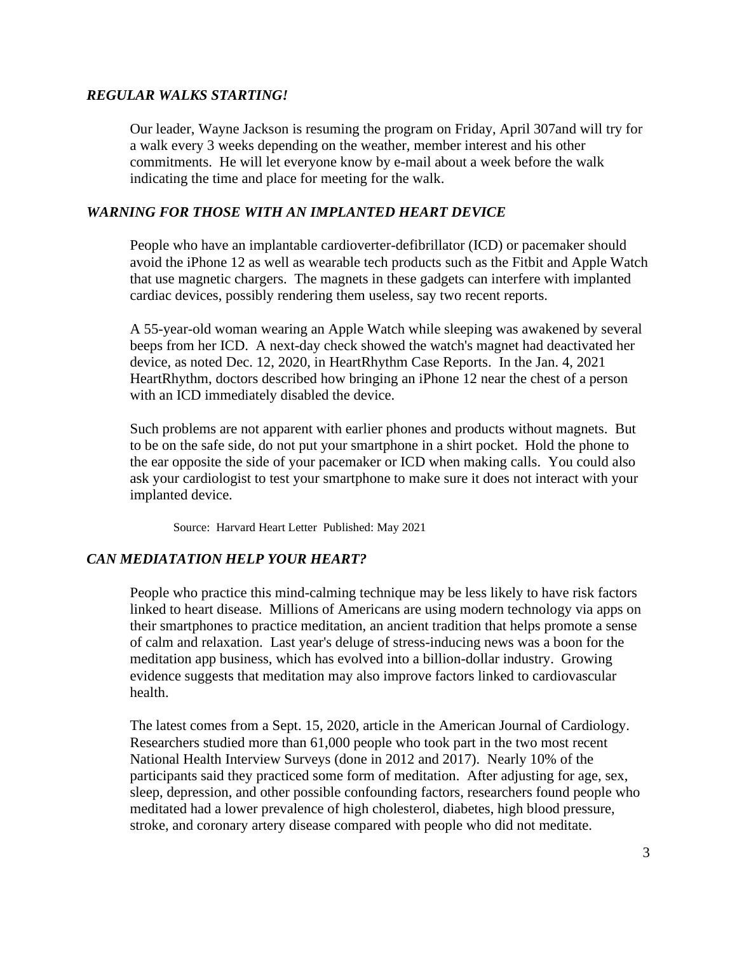## *REGULAR WALKS STARTING!*

Our leader, Wayne Jackson is resuming the program on Friday, April 307and will try for a walk every 3 weeks depending on the weather, member interest and his other commitments. He will let everyone know by e-mail about a week before the walk indicating the time and place for meeting for the walk.

## *WARNING FOR THOSE WITH AN IMPLANTED HEART DEVICE*

People who have an implantable cardioverter-defibrillator (ICD) or pacemaker should avoid the iPhone 12 as well as wearable tech products such as the Fitbit and Apple Watch that use magnetic chargers. The magnets in these gadgets can interfere with implanted cardiac devices, possibly rendering them useless, say two recent reports.

A 55-year-old woman wearing an Apple Watch while sleeping was awakened by several beeps from her ICD. A next-day check showed the watch's magnet had deactivated her device, as noted Dec. 12, 2020, in HeartRhythm Case Reports. In the Jan. 4, 2021 HeartRhythm, doctors described how bringing an iPhone 12 near the chest of a person with an ICD immediately disabled the device.

Such problems are not apparent with earlier phones and products without magnets. But to be on the safe side, do not put your smartphone in a shirt pocket. Hold the phone to the ear opposite the side of your pacemaker or ICD when making calls. You could also ask your cardiologist to test your smartphone to make sure it does not interact with your implanted device.

Source: [Harvard Heart Letter](https://www.health.harvard.edu/newsletters/harvard_heart_letter/2021/may) Published: May 2021

## *CAN MEDIATATION HELP YOUR HEART?*

People who practice this mind-calming technique may be less likely to have risk factors linked to heart disease. Millions of Americans are using modern technology via apps on their smartphones to practice meditation, an ancient tradition that helps promote a sense of calm and relaxation. Last year's deluge of stress-inducing news was a boon for the meditation app business, which has evolved into a billion-dollar industry. Growing evidence suggests that meditation may also improve factors linked to cardiovascular health.

The latest comes from a Sept. 15, 2020, article in the American Journal of Cardiology. Researchers studied more than 61,000 people who took part in the two most recent National Health Interview Surveys (done in 2012 and 2017). Nearly 10% of the participants said they practiced some form of meditation. After adjusting for age, sex, sleep, depression, and other possible confounding factors, researchers found people who meditated had a lower prevalence of high cholesterol, diabetes, high blood pressure, stroke, and coronary artery disease compared with people who did not meditate.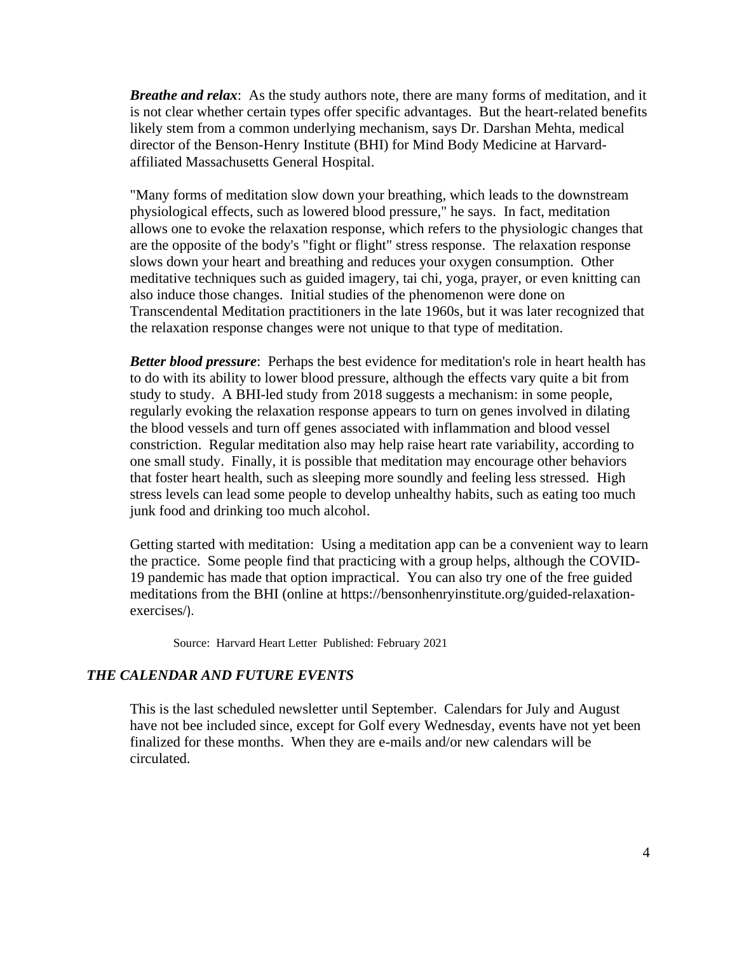*Breathe and relax*: As the study authors note, there are many forms of meditation, and it is not clear whether certain types offer specific advantages. But the heart-related benefits likely stem from a common underlying mechanism, says Dr. Darshan Mehta, medical director of the Benson-Henry Institute (BHI) for Mind Body Medicine at Harvardaffiliated Massachusetts General Hospital.

"Many forms of meditation slow down your breathing, which leads to the downstream physiological effects, such as lowered blood pressure," he says. In fact, meditation allows one to evoke the relaxation response, which refers to the physiologic changes that are the opposite of the body's "fight or flight" stress response. The relaxation response slows down your heart and breathing and reduces your oxygen consumption. Other meditative techniques such as guided imagery, tai chi, yoga, prayer, or even knitting can also induce those changes. Initial studies of the phenomenon were done on Transcendental Meditation practitioners in the late 1960s, but it was later recognized that the relaxation response changes were not unique to that type of meditation.

*Better blood pressure*: Perhaps the best evidence for meditation's role in heart health has to do with its ability to lower blood pressure, although the effects vary quite a bit from study to study. A BHI-led study from 2018 suggests a mechanism: in some people, regularly evoking the relaxation response appears to turn on genes involved in dilating the blood vessels and turn off genes associated with inflammation and blood vessel constriction. Regular meditation also may help raise heart rate variability, according to one small study. Finally, it is possible that meditation may encourage other behaviors that foster heart health, such as sleeping more soundly and feeling less stressed. High stress levels can lead some people to develop unhealthy habits, such as eating too much junk food and drinking too much alcohol.

Getting started with meditation: Using a meditation app can be a convenient way to learn the practice. Some people find that practicing with a group helps, although the COVID-19 pandemic has made that option impractical. You can also try one of the free guided meditations from the BHI (online at [https://bensonhenryinstitute.org/guided-relaxation](https://bensonhenryinstitute.org/guided-relaxation-exercises/)[exercises/](https://bensonhenryinstitute.org/guided-relaxation-exercises/)).

Source: [Harvard Heart Letter](https://www.health.harvard.edu/newsletters/harvard_heart_letter/2021/february) Published: February 2021

## *THE CALENDAR AND FUTURE EVENTS*

This is the last scheduled newsletter until September. Calendars for July and August have not bee included since, except for Golf every Wednesday, events have not yet been finalized for these months. When they are e-mails and/or new calendars will be circulated.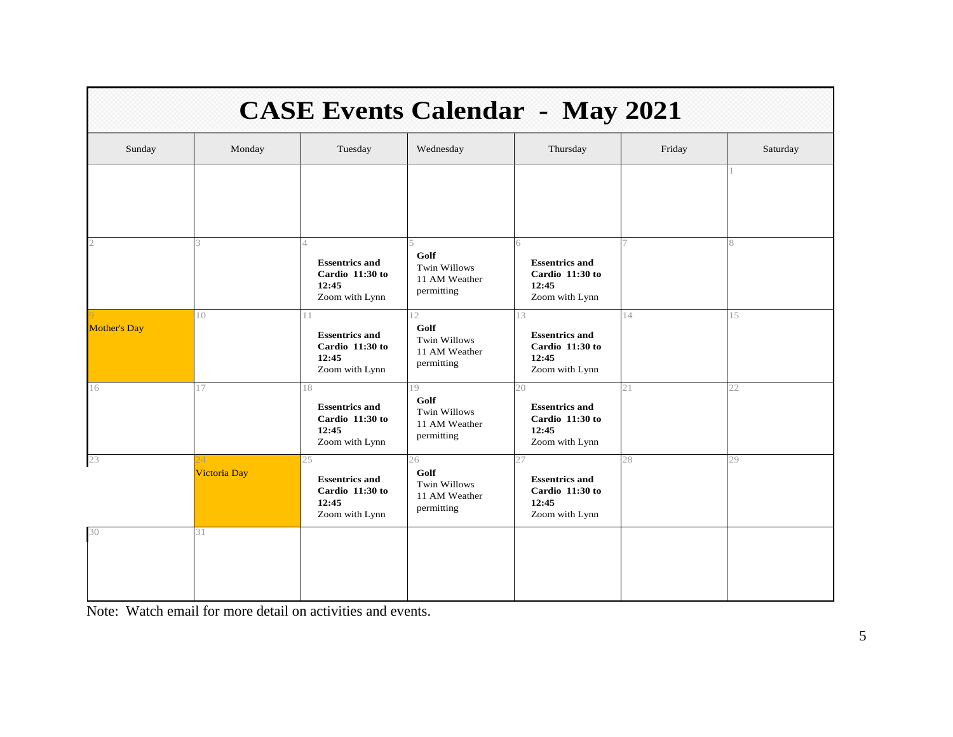| <b>CASE Events Calendar - May 2021</b> |                          |                                                                           |                                                                  |                                                                           |        |          |  |  |  |
|----------------------------------------|--------------------------|---------------------------------------------------------------------------|------------------------------------------------------------------|---------------------------------------------------------------------------|--------|----------|--|--|--|
| Sunday                                 | Monday                   | Tuesday                                                                   | Wednesday                                                        | Thursday                                                                  | Friday | Saturday |  |  |  |
|                                        |                          |                                                                           |                                                                  |                                                                           |        |          |  |  |  |
|                                        | $\mathcal{R}$            | 4<br><b>Essentrics and</b><br>Cardio 11:30 to<br>12:45<br>Zoom with Lynn  | Golf<br><b>Twin Willows</b><br>11 AM Weather<br>permitting       | 6<br><b>Essentrics and</b><br>Cardio 11:30 to<br>12:45<br>Zoom with Lynn  | 7      | 8        |  |  |  |
| <b>Mother's Day</b>                    | 10                       | 11<br><b>Essentrics and</b><br>Cardio 11:30 to<br>12:45<br>Zoom with Lynn | 12<br>Golf<br><b>Twin Willows</b><br>11 AM Weather<br>permitting | 13<br><b>Essentrics and</b><br>Cardio 11:30 to<br>12:45<br>Zoom with Lynn | 14     | 15       |  |  |  |
| 16                                     | 17                       | 18<br><b>Essentrics and</b><br>Cardio 11:30 to<br>12:45<br>Zoom with Lynn | 19<br>Golf<br><b>Twin Willows</b><br>11 AM Weather<br>permitting | 20<br><b>Essentrics and</b><br>Cardio 11:30 to<br>12:45<br>Zoom with Lynn | 21     | 22       |  |  |  |
| 23                                     | $24^{1}$<br>Victoria Day | 25<br><b>Essentrics and</b><br>Cardio 11:30 to<br>12:45<br>Zoom with Lynn | 26<br>Golf<br><b>Twin Willows</b><br>11 AM Weather<br>permitting | 27<br><b>Essentrics and</b><br>Cardio 11:30 to<br>12:45<br>Zoom with Lynn | 28     | 29       |  |  |  |
| 30                                     | 31                       |                                                                           |                                                                  |                                                                           |        |          |  |  |  |

Note: Watch email for more detail on activities and events.